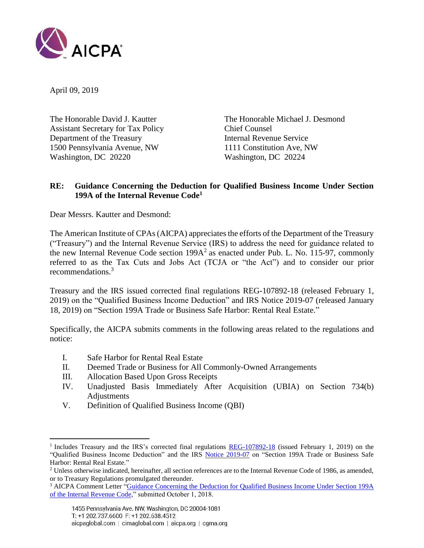

April 09, 2019

 $\overline{\phantom{a}}$ 

Assistant Secretary for Tax Policy Chief Counsel Department of the Treasury **Internal Revenue Service** 1500 Pennsylvania Avenue, NW 1111 Constitution Ave, NW Washington, DC 20220 Washington, DC 20224

The Honorable David J. Kautter The Honorable Michael J. Desmond

## **RE: Guidance Concerning the Deduction for Qualified Business Income Under Section 199A of the Internal Revenue Code<sup>1</sup>**

Dear Messrs. Kautter and Desmond:

The American Institute of CPAs (AICPA) appreciates the efforts of the Department of the Treasury ("Treasury") and the Internal Revenue Service (IRS) to address the need for guidance related to the new Internal Revenue Code section  $199A<sup>2</sup>$  as enacted under Pub. L. No. 115-97, commonly referred to as the Tax Cuts and Jobs Act (TCJA or "the Act") and to consider our prior recommendations.<sup>3</sup>

Treasury and the IRS issued corrected final regulations REG-107892-18 (released February 1, 2019) on the "Qualified Business Income Deduction" and IRS Notice 2019-07 (released January 18, 2019) on "Section 199A Trade or Business Safe Harbor: Rental Real Estate."

Specifically, the AICPA submits comments in the following areas related to the regulations and notice:

- I. Safe Harbor for Rental Real Estate
- II. Deemed Trade or Business for All Commonly-Owned Arrangements
- III. Allocation Based Upon Gross Receipts
- IV. Unadjusted Basis Immediately After Acquisition (UBIA) on Section 734(b) Adjustments
- V. Definition of Qualified Business Income (QBI)

<sup>&</sup>lt;sup>1</sup> Includes Treasury and the IRS's corrected final regulations [REG-107892-18](https://www.irs.gov/pub/irs-drop/td-reg-107892-18-corrected.pdf) (issued February 1, 2019) on the "Qualified Business Income Deduction" and the IRS [Notice 2019-07](https://www.irs.gov/pub/irs-drop/n-19-07.pdf) on "Section 199A Trade or Business Safe Harbor: Rental Real Estate."

 $2$  Unless otherwise indicated, hereinafter, all section references are to the Internal Revenue Code of 1986, as amended, or to Treasury Regulations promulgated thereunder.

<sup>&</sup>lt;sup>3</sup> AICPA Comment Letter "Guidance Concerning the Deduction for Qualified Business Income Under Section 199A [of the Internal Revenue Code,](https://www.aicpa.org/content/dam/aicpa/advocacy/tax/downloadabledocuments/20181001-aicpa-reg-107892-18-199a-qbi-deduction-comment-letter.pdf)" submitted October 1, 2018.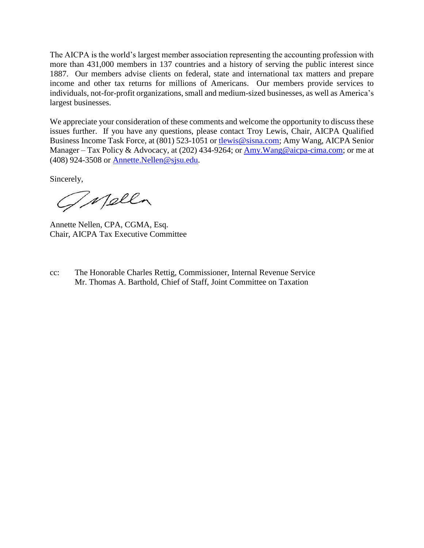The AICPA is the world's largest member association representing the accounting profession with more than 431,000 members in 137 countries and a history of serving the public interest since 1887. Our members advise clients on federal, state and international tax matters and prepare income and other tax returns for millions of Americans. Our members provide services to individuals, not-for-profit organizations, small and medium-sized businesses, as well as America's largest businesses.

We appreciate your consideration of these comments and welcome the opportunity to discuss these issues further. If you have any questions, please contact Troy Lewis, Chair, AICPA Qualified Business Income Task Force, at (801) 523-1051 or [tlewis@sisna.com;](mailto:tlewis@sisna.com) Amy Wang, AICPA Senior Manager – Tax Policy & Advocacy, at (202) 434-9264; or Amy. Wang@aicpa-cima.com; or me at (408) 924-3508 or [Annette.Nellen@sjsu.edu.](mailto:Annette.Nellen@sjsu.edu)

Sincerely,

Gnella

Annette Nellen, CPA, CGMA, Esq. Chair, AICPA Tax Executive Committee

cc: The Honorable Charles Rettig, Commissioner, Internal Revenue Service Mr. Thomas A. Barthold, Chief of Staff, Joint Committee on Taxation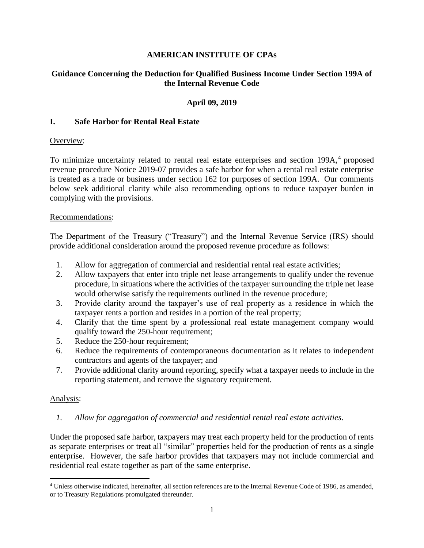## **AMERICAN INSTITUTE OF CPAs**

## **Guidance Concerning the Deduction for Qualified Business Income Under Section 199A of the Internal Revenue Code**

### **April 09, 2019**

### **I. Safe Harbor for Rental Real Estate**

### Overview:

To minimize uncertainty related to rental real estate enterprises and section 199A,<sup>4</sup> proposed revenue procedure Notice 2019-07 provides a safe harbor for when a rental real estate enterprise is treated as a trade or business under section 162 for purposes of section 199A. Our comments below seek additional clarity while also recommending options to reduce taxpayer burden in complying with the provisions.

### Recommendations:

The Department of the Treasury ("Treasury") and the Internal Revenue Service (IRS) should provide additional consideration around the proposed revenue procedure as follows:

- 1. Allow for aggregation of commercial and residential rental real estate activities;
- 2. Allow taxpayers that enter into triple net lease arrangements to qualify under the revenue procedure, in situations where the activities of the taxpayer surrounding the triple net lease would otherwise satisfy the requirements outlined in the revenue procedure;
- 3. Provide clarity around the taxpayer's use of real property as a residence in which the taxpayer rents a portion and resides in a portion of the real property;
- 4. Clarify that the time spent by a professional real estate management company would qualify toward the 250-hour requirement;
- 5. Reduce the 250-hour requirement;
- 6. Reduce the requirements of contemporaneous documentation as it relates to independent contractors and agents of the taxpayer; and
- 7. Provide additional clarity around reporting, specify what a taxpayer needs to include in the reporting statement, and remove the signatory requirement.

### Analysis:

 $\overline{a}$ 

*1. Allow for aggregation of commercial and residential rental real estate activities.*

Under the proposed safe harbor, taxpayers may treat each property held for the production of rents as separate enterprises or treat all "similar" properties held for the production of rents as a single enterprise. However, the safe harbor provides that taxpayers may not include commercial and residential real estate together as part of the same enterprise.

<sup>4</sup> Unless otherwise indicated, hereinafter, all section references are to the Internal Revenue Code of 1986, as amended, or to Treasury Regulations promulgated thereunder.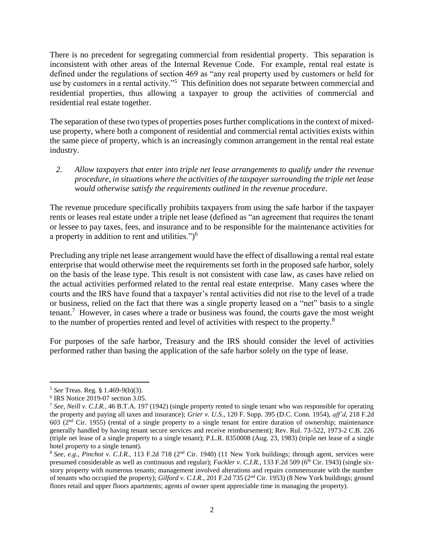There is no precedent for segregating commercial from residential property. This separation is inconsistent with other areas of the Internal Revenue Code. For example, rental real estate is defined under the regulations of section 469 as "any real property used by customers or held for use by customers in a rental activity."<sup>5</sup> This definition does not separate between commercial and residential properties, thus allowing a taxpayer to group the activities of commercial and residential real estate together.

The separation of these two types of properties poses further complications in the context of mixeduse property, where both a component of residential and commercial rental activities exists within the same piece of property, which is an increasingly common arrangement in the rental real estate industry.

*2. Allow taxpayers that enter into triple net lease arrangements to qualify under the revenue procedure, in situations where the activities of the taxpayer surrounding the triple net lease would otherwise satisfy the requirements outlined in the revenue procedure.*

The revenue procedure specifically prohibits taxpayers from using the safe harbor if the taxpayer rents or leases real estate under a triple net lease (defined as "an agreement that requires the tenant or lessee to pay taxes, fees, and insurance and to be responsible for the maintenance activities for a property in addition to rent and utilities.")<sup>6</sup>

Precluding any triple net lease arrangement would have the effect of disallowing a rental real estate enterprise that would otherwise meet the requirements set forth in the proposed safe harbor, solely on the basis of the lease type. This result is not consistent with case law, as cases have relied on the actual activities performed related to the rental real estate enterprise. Many cases where the courts and the IRS have found that a taxpayer's rental activities did not rise to the level of a trade or business, relied on the fact that there was a single property leased on a "net" basis to a single tenant.<sup>7</sup> However, in cases where a trade or business was found, the courts gave the most weight to the number of properties rented and level of activities with respect to the property.<sup>8</sup>

For purposes of the safe harbor, Treasury and the IRS should consider the level of activities performed rather than basing the application of the safe harbor solely on the type of lease.

 $\overline{\phantom{a}}$ 

<sup>5</sup> *See* Treas. Reg. § 1.469-9(b)(3).

<sup>6</sup> IRS Notice 2019-07 section 3.05.

<sup>7</sup> *See*, *Neill v. C.I.R.*, 46 B.T.A. 197 (1942) (single property rented to single tenant who was responsible for operating the property and paying all taxes and insurance); *Grier v. U.S.*, 120 F. Supp. 395 (D.C. Conn. 1954), *aff'd*, 218 F.2d 603 ( $2<sup>nd</sup> Cir.$  1955) (rental of a single property to a single tenant for entire duration of ownership; maintenance generally handled by having tenant secure services and receive reimbursement); Rev. Rul. 73-522, 1973-2 C.B. 226 (triple net lease of a single property to a single tenant); P.L.R. 8350008 (Aug. 23, 1983) (triple net lease of a single hotel property to a single tenant).

<sup>8</sup> *See*, *e.g.*, *Pinchot v. C.I.R.*, 113 F.2d 718 (2nd Cir. 1940) (11 New York buildings; through agent, services were presumed considerable as well as continuous and regular); *Fackler v. C.I.R.*, 133 F.2d 509 (6<sup>th</sup> Cir. 1943) (single sixstory property with numerous tenants; management involved alterations and repairs commensurate with the number of tenants who occupied the property); *Gilford v. C.I.R.*, 201 F.2d 735 (2<sup>nd</sup> Cir. 1953) (8 New York buildings; ground floors retail and upper floors apartments; agents of owner spent appreciable time in managing the property).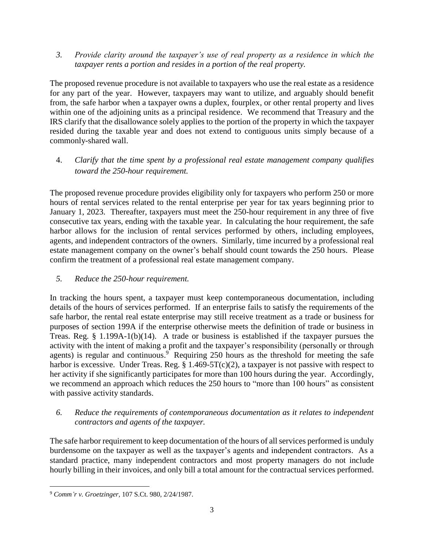*3. Provide clarity around the taxpayer's use of real property as a residence in which the taxpayer rents a portion and resides in a portion of the real property.*

The proposed revenue procedure is not available to taxpayers who use the real estate as a residence for any part of the year. However, taxpayers may want to utilize, and arguably should benefit from, the safe harbor when a taxpayer owns a duplex, fourplex, or other rental property and lives within one of the adjoining units as a principal residence. We recommend that Treasury and the IRS clarify that the disallowance solely applies to the portion of the property in which the taxpayer resided during the taxable year and does not extend to contiguous units simply because of a commonly-shared wall.

4. *Clarify that the time spent by a professional real estate management company qualifies toward the 250-hour requirement.*

The proposed revenue procedure provides eligibility only for taxpayers who perform 250 or more hours of rental services related to the rental enterprise per year for tax years beginning prior to January 1, 2023. Thereafter, taxpayers must meet the 250-hour requirement in any three of five consecutive tax years, ending with the taxable year. In calculating the hour requirement, the safe harbor allows for the inclusion of rental services performed by others, including employees, agents, and independent contractors of the owners. Similarly, time incurred by a professional real estate management company on the owner's behalf should count towards the 250 hours. Please confirm the treatment of a professional real estate management company.

*5. Reduce the 250-hour requirement.*

In tracking the hours spent, a taxpayer must keep contemporaneous documentation, including details of the hours of services performed. If an enterprise fails to satisfy the requirements of the safe harbor, the rental real estate enterprise may still receive treatment as a trade or business for purposes of section 199A if the enterprise otherwise meets the definition of trade or business in Treas. Reg. § 1.199A-1(b)(14). A trade or business is established if the taxpayer pursues the activity with the intent of making a profit and the taxpayer's responsibility (personally or through agents) is regular and continuous.<sup>9</sup> Requiring 250 hours as the threshold for meeting the safe harbor is excessive. Under Treas. Reg. § 1.469-5T(c)(2), a taxpayer is not passive with respect to her activity if she significantly participates for more than 100 hours during the year. Accordingly, we recommend an approach which reduces the 250 hours to "more than 100 hours" as consistent with passive activity standards.

## *6. Reduce the requirements of contemporaneous documentation as it relates to independent contractors and agents of the taxpayer.*

The safe harbor requirement to keep documentation of the hours of all services performed is unduly burdensome on the taxpayer as well as the taxpayer's agents and independent contractors. As a standard practice, many independent contractors and most property managers do not include hourly billing in their invoices, and only bill a total amount for the contractual services performed.

 $\overline{\phantom{a}}$ <sup>9</sup> *Comm'r v. Groetzinger,* 107 S.Ct. 980, 2/24/1987.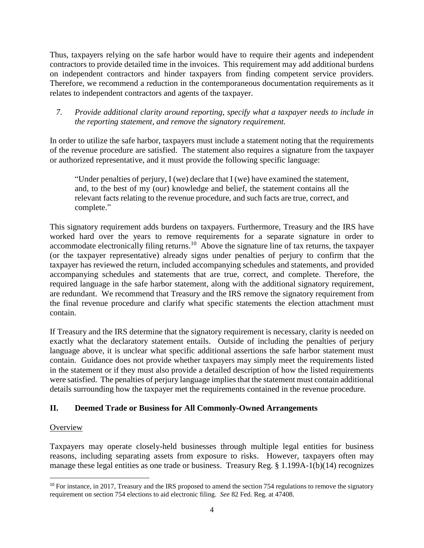Thus, taxpayers relying on the safe harbor would have to require their agents and independent contractors to provide detailed time in the invoices. This requirement may add additional burdens on independent contractors and hinder taxpayers from finding competent service providers. Therefore, we recommend a reduction in the contemporaneous documentation requirements as it relates to independent contractors and agents of the taxpayer.

## *7. Provide additional clarity around reporting, specify what a taxpayer needs to include in the reporting statement, and remove the signatory requirement.*

In order to utilize the safe harbor, taxpayers must include a statement noting that the requirements of the revenue procedure are satisfied. The statement also requires a signature from the taxpayer or authorized representative, and it must provide the following specific language:

"Under penalties of perjury, I (we) declare that I (we) have examined the statement, and, to the best of my (our) knowledge and belief, the statement contains all the relevant facts relating to the revenue procedure, and such facts are true, correct, and complete."

This signatory requirement adds burdens on taxpayers. Furthermore, Treasury and the IRS have worked hard over the years to remove requirements for a separate signature in order to accommodate electronically filing returns.<sup>10</sup> Above the signature line of tax returns, the taxpayer (or the taxpayer representative) already signs under penalties of perjury to confirm that the taxpayer has reviewed the return, included accompanying schedules and statements, and provided accompanying schedules and statements that are true, correct, and complete. Therefore, the required language in the safe harbor statement, along with the additional signatory requirement, are redundant. We recommend that Treasury and the IRS remove the signatory requirement from the final revenue procedure and clarify what specific statements the election attachment must contain.

If Treasury and the IRS determine that the signatory requirement is necessary, clarity is needed on exactly what the declaratory statement entails. Outside of including the penalties of perjury language above, it is unclear what specific additional assertions the safe harbor statement must contain. Guidance does not provide whether taxpayers may simply meet the requirements listed in the statement or if they must also provide a detailed description of how the listed requirements were satisfied. The penalties of perjury language implies that the statement must contain additional details surrounding how the taxpayer met the requirements contained in the revenue procedure.

# **II. Deemed Trade or Business for All Commonly-Owned Arrangements**

## **Overview**

l

Taxpayers may operate closely-held businesses through multiple legal entities for business reasons, including separating assets from exposure to risks. However, taxpayers often may manage these legal entities as one trade or business. Treasury Reg. § 1.199A-1(b)(14) recognizes

<sup>&</sup>lt;sup>10</sup> For instance, in 2017, Treasury and the IRS proposed to amend the section 754 regulations to remove the signatory requirement on section 754 elections to aid electronic filing. *See* 82 Fed. Reg. at 47408.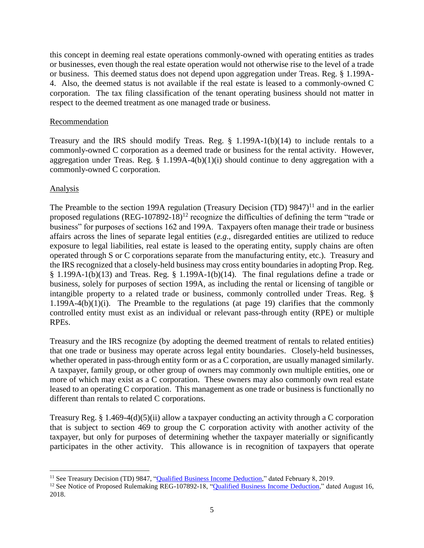this concept in deeming real estate operations commonly-owned with operating entities as trades or businesses, even though the real estate operation would not otherwise rise to the level of a trade or business. This deemed status does not depend upon aggregation under Treas. Reg. § 1.199A-4. Also, the deemed status is not available if the real estate is leased to a commonly-owned C corporation. The tax filing classification of the tenant operating business should not matter in respect to the deemed treatment as one managed trade or business.

#### Recommendation

Treasury and the IRS should modify Treas. Reg. § 1.199A-1(b)(14) to include rentals to a commonly-owned C corporation as a deemed trade or business for the rental activity. However, aggregation under Treas. Reg.  $\S$  1.199A-4(b)(1)(i) should continue to deny aggregation with a commonly-owned C corporation.

#### Analysis

 $\overline{\phantom{a}}$ 

The Preamble to the section 199A regulation (Treasury Decision (TD)  $9847$ )<sup>11</sup> and in the earlier proposed regulations  $(REG-107892-18)^{12}$  recognize the difficulties of defining the term "trade or business" for purposes of sections 162 and 199A. Taxpayers often manage their trade or business affairs across the lines of separate legal entities (*e.g*., disregarded entities are utilized to reduce exposure to legal liabilities, real estate is leased to the operating entity, supply chains are often operated through S or C corporations separate from the manufacturing entity, etc.). Treasury and the IRS recognized that a closely-held business may cross entity boundaries in adopting Prop. Reg. § 1.199A-1(b)(13) and Treas. Reg. § 1.199A-1(b)(14). The final regulations define a trade or business, solely for purposes of section 199A, as including the rental or licensing of tangible or intangible property to a related trade or business, commonly controlled under Treas. Reg. § 1.199A-4(b)(1)(i). The Preamble to the regulations (at page 19) clarifies that the commonly controlled entity must exist as an individual or relevant pass-through entity (RPE) or multiple RPEs.

Treasury and the IRS recognize (by adopting the deemed treatment of rentals to related entities) that one trade or business may operate across legal entity boundaries. Closely-held businesses, whether operated in pass-through entity form or as a C corporation, are usually managed similarly. A taxpayer, family group, or other group of owners may commonly own multiple entities, one or more of which may exist as a C corporation. These owners may also commonly own real estate leased to an operating C corporation. This management as one trade or business is functionally no different than rentals to related C corporations.

Treasury Reg. § 1.469-4(d)(5)(ii) allow a taxpayer conducting an activity through a C corporation that is subject to section 469 to group the C corporation activity with another activity of the taxpayer, but only for purposes of determining whether the taxpayer materially or significantly participates in the other activity. This allowance is in recognition of taxpayers that operate

<sup>&</sup>lt;sup>11</sup> See Treasury Decision (TD) 9847, ["Qualified Business Income Deduction,"](https://www.govinfo.gov/content/pkg/FR-2019-02-08/pdf/2019-01025.pdf) dated February 8, 2019.

<sup>&</sup>lt;sup>12</sup> See Notice of Proposed Rulemaking REG-107892-18, ["Qualified Business Income Deduction,"](https://www.govinfo.gov/content/pkg/FR-2018-08-16/pdf/2018-17276.pdf) dated August 16, 2018.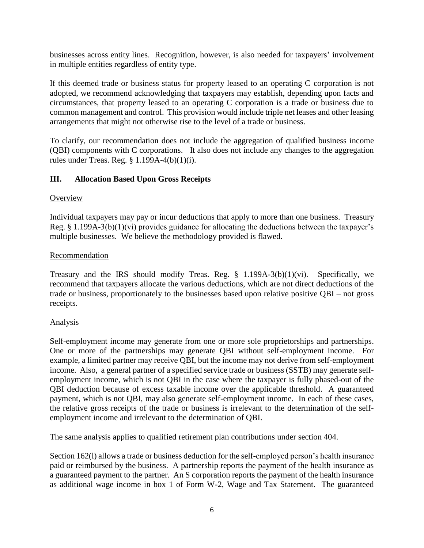businesses across entity lines. Recognition, however, is also needed for taxpayers' involvement in multiple entities regardless of entity type.

If this deemed trade or business status for property leased to an operating C corporation is not adopted, we recommend acknowledging that taxpayers may establish, depending upon facts and circumstances, that property leased to an operating C corporation is a trade or business due to common management and control. This provision would include triple net leases and other leasing arrangements that might not otherwise rise to the level of a trade or business.

To clarify, our recommendation does not include the aggregation of qualified business income (QBI) components with C corporations. It also does not include any changes to the aggregation rules under Treas. Reg. § 1.199A-4(b)(1)(i).

## **III. Allocation Based Upon Gross Receipts**

### **Overview**

Individual taxpayers may pay or incur deductions that apply to more than one business. Treasury Reg. § 1.199A-3(b)(1)(vi) provides guidance for allocating the deductions between the taxpayer's multiple businesses. We believe the methodology provided is flawed.

### Recommendation

Treasury and the IRS should modify Treas. Reg.  $\S$  1.199A-3(b)(1)(vi). Specifically, we recommend that taxpayers allocate the various deductions, which are not direct deductions of the trade or business, proportionately to the businesses based upon relative positive QBI – not gross receipts.

### Analysis

Self-employment income may generate from one or more sole proprietorships and partnerships. One or more of the partnerships may generate QBI without self-employment income. For example, a limited partner may receive QBI, but the income may not derive from self-employment income. Also, a general partner of a specified service trade or business (SSTB) may generate selfemployment income, which is not QBI in the case where the taxpayer is fully phased-out of the QBI deduction because of excess taxable income over the applicable threshold. A guaranteed payment, which is not QBI, may also generate self-employment income. In each of these cases, the relative gross receipts of the trade or business is irrelevant to the determination of the selfemployment income and irrelevant to the determination of QBI.

The same analysis applies to qualified retirement plan contributions under section 404.

Section 162(l) allows a trade or business deduction for the self-employed person's health insurance paid or reimbursed by the business. A partnership reports the payment of the health insurance as a guaranteed payment to the partner. An S corporation reports the payment of the health insurance as additional wage income in box 1 of Form W-2, Wage and Tax Statement. The guaranteed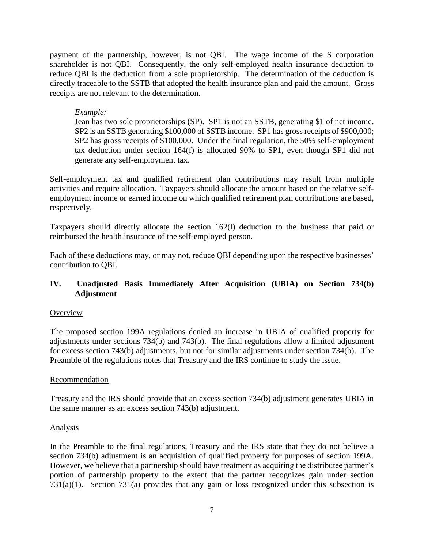payment of the partnership, however, is not QBI. The wage income of the S corporation shareholder is not QBI. Consequently, the only self-employed health insurance deduction to reduce QBI is the deduction from a sole proprietorship. The determination of the deduction is directly traceable to the SSTB that adopted the health insurance plan and paid the amount. Gross receipts are not relevant to the determination.

### *Example:*

Jean has two sole proprietorships (SP). SP1 is not an SSTB, generating \$1 of net income. SP2 is an SSTB generating \$100,000 of SSTB income. SP1 has gross receipts of \$900,000; SP2 has gross receipts of \$100,000. Under the final regulation, the 50% self-employment tax deduction under section 164(f) is allocated 90% to SP1, even though SP1 did not generate any self-employment tax.

Self-employment tax and qualified retirement plan contributions may result from multiple activities and require allocation. Taxpayers should allocate the amount based on the relative selfemployment income or earned income on which qualified retirement plan contributions are based, respectively.

Taxpayers should directly allocate the section 162(l) deduction to the business that paid or reimbursed the health insurance of the self-employed person.

Each of these deductions may, or may not, reduce QBI depending upon the respective businesses' contribution to QBI.

## **IV. Unadjusted Basis Immediately After Acquisition (UBIA) on Section 734(b) Adjustment**

### **Overview**

The proposed section 199A regulations denied an increase in UBIA of qualified property for adjustments under sections 734(b) and 743(b). The final regulations allow a limited adjustment for excess section 743(b) adjustments, but not for similar adjustments under section 734(b). The Preamble of the regulations notes that Treasury and the IRS continue to study the issue.

### Recommendation

Treasury and the IRS should provide that an excess section 734(b) adjustment generates UBIA in the same manner as an excess section 743(b) adjustment.

### Analysis

In the Preamble to the final regulations, Treasury and the IRS state that they do not believe a section 734(b) adjustment is an acquisition of qualified property for purposes of section 199A. However, we believe that a partnership should have treatment as acquiring the distributee partner's portion of partnership property to the extent that the partner recognizes gain under section 731(a)(1). Section 731(a) provides that any gain or loss recognized under this subsection is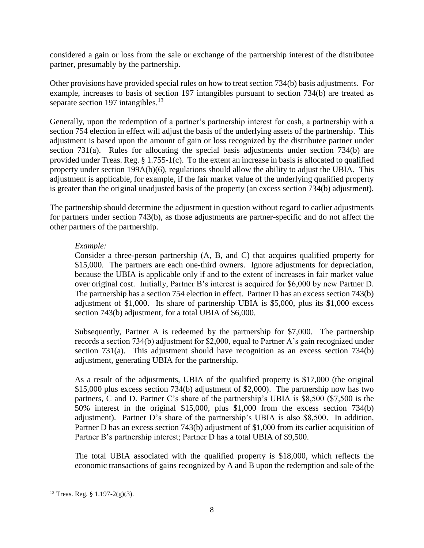considered a gain or loss from the sale or exchange of the partnership interest of the distributee partner, presumably by the partnership.

Other provisions have provided special rules on how to treat section 734(b) basis adjustments. For example, increases to basis of section 197 intangibles pursuant to section 734(b) are treated as separate section 197 intangibles.<sup>13</sup>

Generally, upon the redemption of a partner's partnership interest for cash, a partnership with a section 754 election in effect will adjust the basis of the underlying assets of the partnership. This adjustment is based upon the amount of gain or loss recognized by the distributee partner under section 731(a). Rules for allocating the special basis adjustments under section 734(b) are provided under Treas. Reg. § 1.755-1(c). To the extent an increase in basis is allocated to qualified property under section 199A(b)(6), regulations should allow the ability to adjust the UBIA. This adjustment is applicable, for example, if the fair market value of the underlying qualified property is greater than the original unadjusted basis of the property (an excess section 734(b) adjustment).

The partnership should determine the adjustment in question without regard to earlier adjustments for partners under section 743(b), as those adjustments are partner-specific and do not affect the other partners of the partnership.

## *Example:*

Consider a three-person partnership (A, B, and C) that acquires qualified property for \$15,000. The partners are each one-third owners. Ignore adjustments for depreciation, because the UBIA is applicable only if and to the extent of increases in fair market value over original cost. Initially, Partner B's interest is acquired for \$6,000 by new Partner D. The partnership has a section 754 election in effect. Partner D has an excess section 743(b) adjustment of \$1,000. Its share of partnership UBIA is \$5,000, plus its \$1,000 excess section 743(b) adjustment, for a total UBIA of \$6,000.

Subsequently, Partner A is redeemed by the partnership for \$7,000. The partnership records a section 734(b) adjustment for \$2,000, equal to Partner A's gain recognized under section 731(a). This adjustment should have recognition as an excess section 734(b) adjustment, generating UBIA for the partnership.

As a result of the adjustments, UBIA of the qualified property is \$17,000 (the original \$15,000 plus excess section 734(b) adjustment of \$2,000). The partnership now has two partners, C and D. Partner C's share of the partnership's UBIA is \$8,500 (\$7,500 is the 50% interest in the original \$15,000, plus \$1,000 from the excess section 734(b) adjustment). Partner D's share of the partnership's UBIA is also \$8,500. In addition, Partner D has an excess section 743(b) adjustment of \$1,000 from its earlier acquisition of Partner B's partnership interest; Partner D has a total UBIA of \$9,500.

The total UBIA associated with the qualified property is \$18,000, which reflects the economic transactions of gains recognized by A and B upon the redemption and sale of the

 $\overline{\phantom{a}}$ 

<sup>13</sup> Treas. Reg. § 1.197-2(g)(3).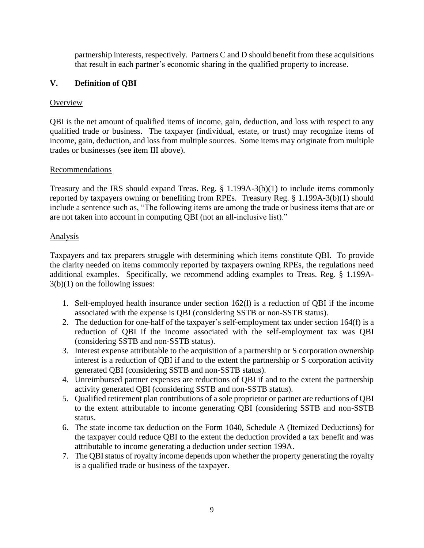partnership interests, respectively. Partners C and D should benefit from these acquisitions that result in each partner's economic sharing in the qualified property to increase.

## **V. Definition of QBI**

## **Overview**

QBI is the net amount of qualified items of income, gain, deduction, and loss with respect to any qualified trade or business. The taxpayer (individual, estate, or trust) may recognize items of income, gain, deduction, and loss from multiple sources. Some items may originate from multiple trades or businesses (see item III above).

### Recommendations

Treasury and the IRS should expand Treas. Reg. § 1.199A-3(b)(1) to include items commonly reported by taxpayers owning or benefiting from RPEs. Treasury Reg. § 1.199A-3(b)(1) should include a sentence such as, "The following items are among the trade or business items that are or are not taken into account in computing QBI (not an all-inclusive list)."

### Analysis

Taxpayers and tax preparers struggle with determining which items constitute QBI. To provide the clarity needed on items commonly reported by taxpayers owning RPEs, the regulations need additional examples. Specifically, we recommend adding examples to Treas. Reg. § 1.199A-3(b)(1) on the following issues:

- 1. Self-employed health insurance under section 162(l) is a reduction of QBI if the income associated with the expense is QBI (considering SSTB or non-SSTB status).
- 2. The deduction for one-half of the taxpayer's self-employment tax under section 164(f) is a reduction of QBI if the income associated with the self-employment tax was QBI (considering SSTB and non-SSTB status).
- 3. Interest expense attributable to the acquisition of a partnership or S corporation ownership interest is a reduction of QBI if and to the extent the partnership or S corporation activity generated QBI (considering SSTB and non-SSTB status).
- 4. Unreimbursed partner expenses are reductions of QBI if and to the extent the partnership activity generated QBI (considering SSTB and non-SSTB status).
- 5. Qualified retirement plan contributions of a sole proprietor or partner are reductions of QBI to the extent attributable to income generating QBI (considering SSTB and non-SSTB status.
- 6. The state income tax deduction on the Form 1040, Schedule A (Itemized Deductions) for the taxpayer could reduce QBI to the extent the deduction provided a tax benefit and was attributable to income generating a deduction under section 199A.
- 7. The QBI status of royalty income depends upon whether the property generating the royalty is a qualified trade or business of the taxpayer.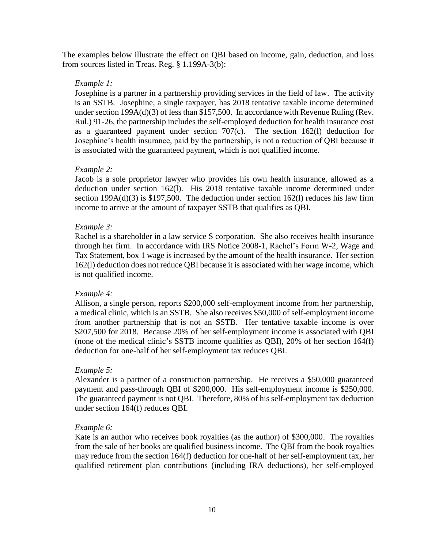The examples below illustrate the effect on QBI based on income, gain, deduction, and loss from sources listed in Treas. Reg. § 1.199A-3(b):

### *Example 1:*

Josephine is a partner in a partnership providing services in the field of law. The activity is an SSTB. Josephine, a single taxpayer, has 2018 tentative taxable income determined under section 199A(d)(3) of less than \$157,500. In accordance with Revenue Ruling (Rev. Rul.) 91-26, the partnership includes the self-employed deduction for health insurance cost as a guaranteed payment under section 707(c). The section 162(l) deduction for Josephine's health insurance, paid by the partnership, is not a reduction of QBI because it is associated with the guaranteed payment, which is not qualified income.

## *Example 2:*

Jacob is a sole proprietor lawyer who provides his own health insurance, allowed as a deduction under section 162(l). His 2018 tentative taxable income determined under section  $199A(d)(3)$  is \$197,500. The deduction under section  $162(l)$  reduces his law firm income to arrive at the amount of taxpayer SSTB that qualifies as QBI.

### *Example 3:*

Rachel is a shareholder in a law service S corporation. She also receives health insurance through her firm. In accordance with IRS Notice 2008-1, Rachel's Form W-2, Wage and Tax Statement, box 1 wage is increased by the amount of the health insurance. Her section 162(l) deduction does not reduce QBI because it is associated with her wage income, which is not qualified income.

## *Example 4:*

Allison, a single person, reports \$200,000 self-employment income from her partnership, a medical clinic, which is an SSTB. She also receives \$50,000 of self-employment income from another partnership that is not an SSTB. Her tentative taxable income is over \$207,500 for 2018. Because 20% of her self-employment income is associated with QBI (none of the medical clinic's SSTB income qualifies as QBI), 20% of her section 164(f) deduction for one-half of her self-employment tax reduces QBI.

### *Example 5:*

Alexander is a partner of a construction partnership. He receives a \$50,000 guaranteed payment and pass-through QBI of \$200,000. His self-employment income is \$250,000. The guaranteed payment is not QBI. Therefore, 80% of his self-employment tax deduction under section 164(f) reduces QBI.

### *Example 6:*

Kate is an author who receives book royalties (as the author) of \$300,000. The royalties from the sale of her books are qualified business income. The QBI from the book royalties may reduce from the section 164(f) deduction for one-half of her self-employment tax, her qualified retirement plan contributions (including IRA deductions), her self-employed